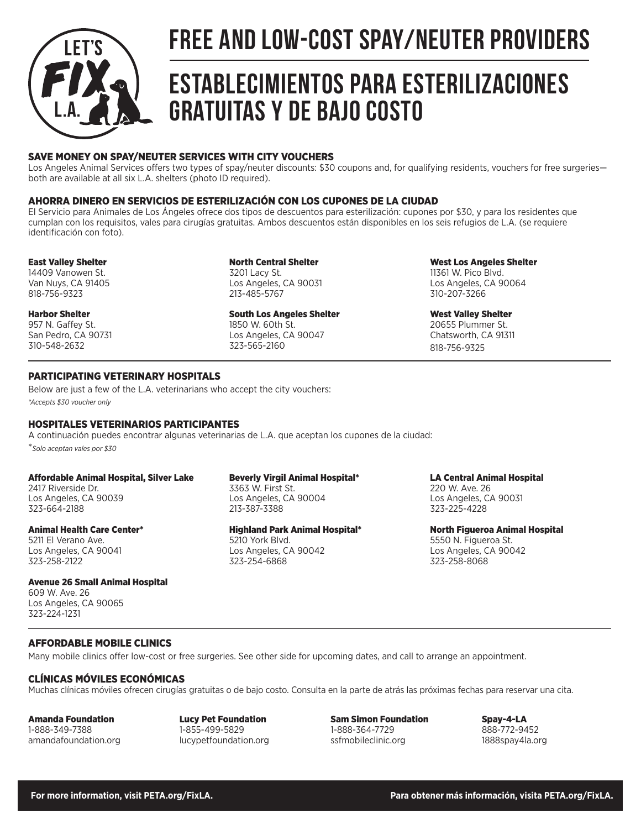

# FREE AND LOW-COST SPAY/NEUTER PROVIDERS

# Establecimientos para esterilizaciones gratuitas y de bajo costo

# SAVE MONEY ON SPAY/NEUTER SERVICES WITH CITY VOUCHERS

Los Angeles Animal Services offers two types of spay/neuter discounts: \$30 coupons and, for qualifying residents, vouchers for free surgeries both are available at all six L.A. shelters (photo ID required).

## AHORRA DINERO EN SERVICIOS DE ESTERILIZACIÓN CON LOS CUPONES DE LA CIUDAD

El Servicio para Animales de Los Ángeles ofrece dos tipos de descuentos para esterilización: cupones por \$30, y para los residentes que cumplan con los requisitos, vales para cirugías gratuitas. Ambos descuentos están disponibles en los seis refugios de L.A. (se requiere identificación con foto).

## East Valley Shelter

14409 Vanowen St. Van Nuys, CA 91405 818-756-9323

Harbor Shelter 957 N. Gaffey St. San Pedro, CA 90731 310-548-2632

North Central Shelter 3201 Lacy St. Los Angeles, CA 90031 213-485-5767

South Los Angeles Shelter 1850 W. 60th St. Los Angeles, CA 90047 323-565-2160

West Los Angeles Shelter 11361 W. Pico Blvd. Los Angeles, CA 90064 310-207-3266

West Valley Shelter 20655 Plummer St. Chatsworth, CA 91311 818-756-9325

# PARTICIPATING VETERINARY HOSPITALS

Below are just a few of the L.A. veterinarians who accept the city vouchers: *\*Accepts \$30 voucher only*

# HOSPITALES VETERINARIOS PARTICIPANTES

A continuación puedes encontrar algunas veterinarias de L.A. que aceptan los cupones de la ciudad: \**Solo aceptan vales por \$30*

#### Affordable Animal Hospital, Silver Lake

2417 Riverside Dr. Los Angeles, CA 90039 323-664-2188

### Animal Health Care Center\*

5211 El Verano Ave. Los Angeles, CA 90041 323-258-2122

## Avenue 26 Small Animal Hospital

609 W. Ave. 26 Los Angeles, CA 90065 323-224-1231

## Beverly Virgil Animal Hospital\*

3363 W. First St. Los Angeles, CA 90004 213-387-3388

## Highland Park Animal Hospital\*

5210 York Blvd. Los Angeles, CA 90042 323-254-6868

LA Central Animal Hospital

220 W. Ave. 26 Los Angeles, CA 90031 323-225-4228

North Figueroa Animal Hospital 5550 N. Figueroa St. Los Angeles, CA 90042 323-258-8068

# AFFORDABLE MOBILE CLINICS

Many mobile clinics offer low-cost or free surgeries. See other side for upcoming dates, and call to arrange an appointment.

## CLÍNICAS MÓVILES ECONÓMICAS

Muchas clínicas móviles ofrecen cirugías gratuitas o de bajo costo. Consulta en la parte de atrás las próximas fechas para reservar una cita.

Amanda Foundation 1-888-349-7388 amandafoundation.org

Lucy Pet Foundation 1-855-499-5829 lucypetfoundation.org

Sam Simon Foundation 1-888-364-7729 ssfmobileclinic.org

Spay-4-LA 888-772-9452 1888spay4la.org